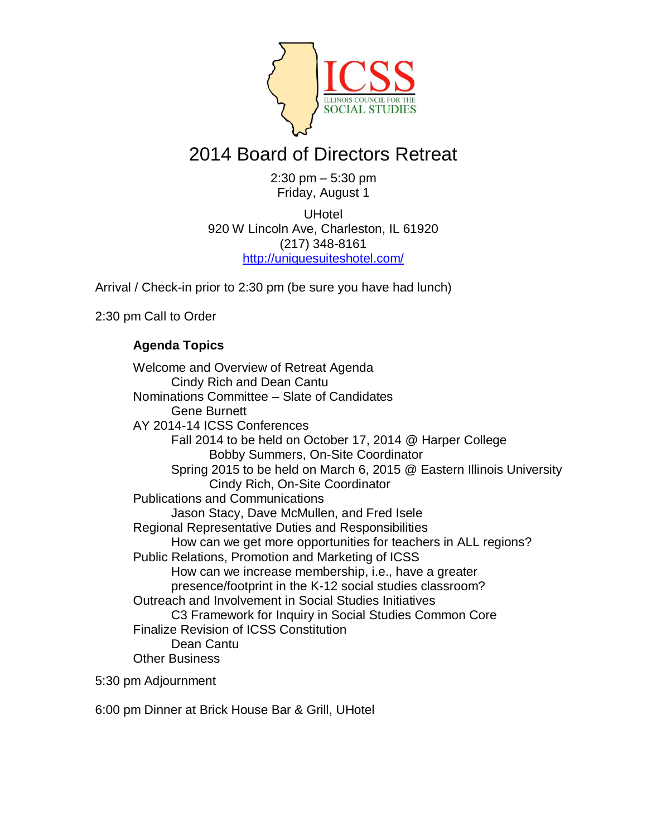

## 2014 Board of Directors Retreat

2:30 pm – 5:30 pm Friday, August 1

**UHotel** 920 W Lincoln Ave, Charleston, IL 61920 (217) 348-8161 <http://uniquesuiteshotel.com/>

Arrival / Check-in prior to 2:30 pm (be sure you have had lunch)

2:30 pm Call to Order

## **Agenda Topics**

Welcome and Overview of Retreat Agenda Cindy Rich and Dean Cantu Nominations Committee – Slate of Candidates Gene Burnett AY 2014-14 ICSS Conferences Fall 2014 to be held on October 17, 2014 @ Harper College Bobby Summers, On-Site Coordinator Spring 2015 to be held on March 6, 2015 @ Eastern Illinois University Cindy Rich, On-Site Coordinator Publications and Communications Jason Stacy, Dave McMullen, and Fred Isele Regional Representative Duties and Responsibilities How can we get more opportunities for teachers in ALL regions? Public Relations, Promotion and Marketing of ICSS How can we increase membership, i.e., have a greater presence/footprint in the K-12 social studies classroom? Outreach and Involvement in Social Studies Initiatives C3 Framework for Inquiry in Social Studies Common Core Finalize Revision of ICSS Constitution Dean Cantu Other Business

5:30 pm Adjournment

6:00 pm Dinner at Brick House Bar & Grill, UHotel